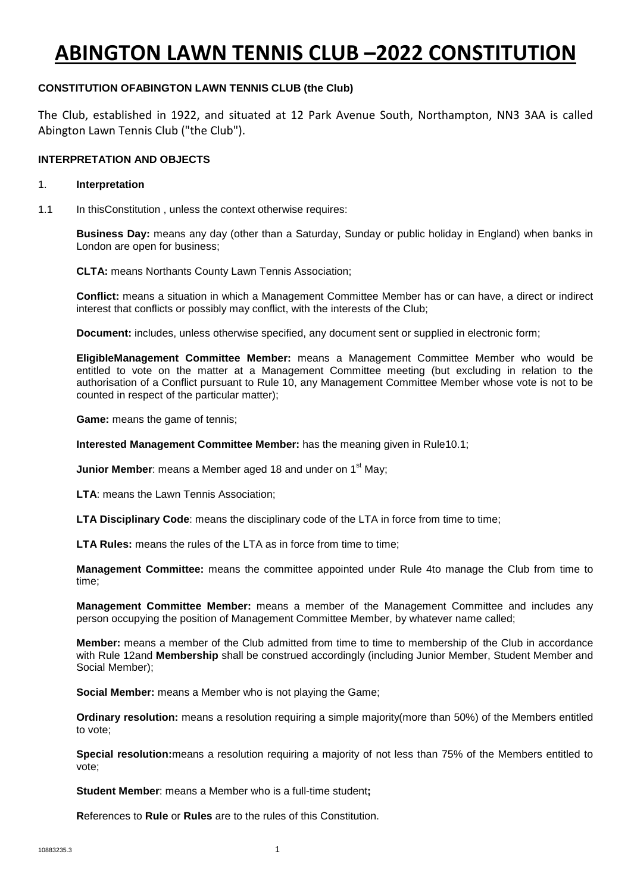# **ABINGTON LAWN TENNIS CLUB –2022 CONSTITUTION**

# **CONSTITUTION OFABINGTON LAWN TENNIS CLUB (the Club)**

The Club, established in 1922, and situated at 12 Park Avenue South, Northampton, NN3 3AA is called Abington Lawn Tennis Club ("the Club").

# **INTERPRETATION AND OBJECTS**

### 1. **Interpretation**

1.1 In thisConstitution, unless the context otherwise requires:

**Business Day:** means any day (other than a Saturday, Sunday or public holiday in England) when banks in London are open for business;

**CLTA:** means Northants County Lawn Tennis Association;

**Conflict:** means a situation in which a Management Committee Member has or can have, a direct or indirect interest that conflicts or possibly may conflict, with the interests of the Club;

**Document:** includes, unless otherwise specified, any document sent or supplied in electronic form;

**EligibleManagement Committee Member:** means a Management Committee Member who would be entitled to vote on the matter at a Management Committee meeting (but excluding in relation to the authorisation of a Conflict pursuant to Rule 10, any Management Committee Member whose vote is not to be counted in respect of the particular matter);

**Game:** means the game of tennis;

**Interested Management Committee Member:** has the meaning given in Rule10.1;

**Junior Member:** means a Member aged 18 and under on 1<sup>st</sup> May;

**LTA**: means the Lawn Tennis Association;

**LTA Disciplinary Code**: means the disciplinary code of the LTA in force from time to time;

**LTA Rules:** means the rules of the LTA as in force from time to time;

**Management Committee:** means the committee appointed under Rule 4to manage the Club from time to time;

**Management Committee Member:** means a member of the Management Committee and includes any person occupying the position of Management Committee Member, by whatever name called;

**Member:** means a member of the Club admitted from time to time to membership of the Club in accordance with Rule 12and **Membership** shall be construed accordingly (including Junior Member, Student Member and Social Member);

**Social Member:** means a Member who is not playing the Game;

**Ordinary resolution:** means a resolution requiring a simple majority(more than 50%) of the Members entitled to vote;

**Special resolution:**means a resolution requiring a majority of not less than 75% of the Members entitled to vote;

**Student Member**: means a Member who is a full-time student**;** 

**R**eferences to **Rule** or **Rules** are to the rules of this Constitution.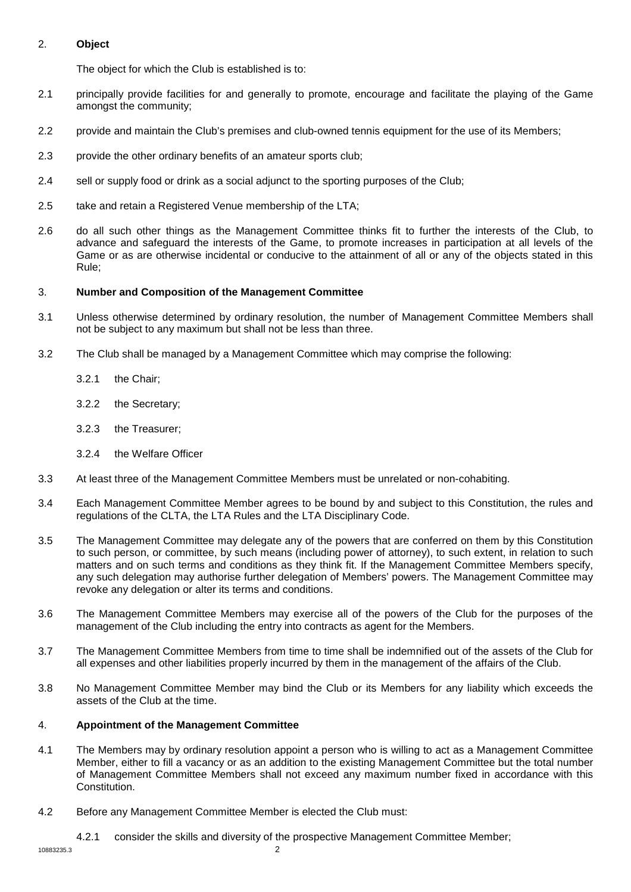# 2. **Object**

The object for which the Club is established is to:

- 2.1 principally provide facilities for and generally to promote, encourage and facilitate the playing of the Game amongst the community;
- 2.2 provide and maintain the Club's premises and club-owned tennis equipment for the use of its Members;
- 2.3 provide the other ordinary benefits of an amateur sports club;
- 2.4 sell or supply food or drink as a social adjunct to the sporting purposes of the Club;
- 2.5 take and retain a Registered Venue membership of the LTA;
- 2.6 do all such other things as the Management Committee thinks fit to further the interests of the Club, to advance and safeguard the interests of the Game, to promote increases in participation at all levels of the Game or as are otherwise incidental or conducive to the attainment of all or any of the objects stated in this Rule;

### 3. **Number and Composition of the Management Committee**

- 3.1 Unless otherwise determined by ordinary resolution, the number of Management Committee Members shall not be subject to any maximum but shall not be less than three.
- 3.2 The Club shall be managed by a Management Committee which may comprise the following:
	- 3.2.1 the Chair;
	- 3.2.2 the Secretary;
	- 3.2.3 the Treasurer;
	- 3.2.4 the Welfare Officer
- 3.3 At least three of the Management Committee Members must be unrelated or non-cohabiting.
- 3.4 Each Management Committee Member agrees to be bound by and subject to this Constitution, the rules and regulations of the CLTA, the LTA Rules and the LTA Disciplinary Code.
- 3.5 The Management Committee may delegate any of the powers that are conferred on them by this Constitution to such person, or committee, by such means (including power of attorney), to such extent, in relation to such matters and on such terms and conditions as they think fit. If the Management Committee Members specify, any such delegation may authorise further delegation of Members' powers. The Management Committee may revoke any delegation or alter its terms and conditions.
- 3.6 The Management Committee Members may exercise all of the powers of the Club for the purposes of the management of the Club including the entry into contracts as agent for the Members.
- 3.7 The Management Committee Members from time to time shall be indemnified out of the assets of the Club for all expenses and other liabilities properly incurred by them in the management of the affairs of the Club.
- 3.8 No Management Committee Member may bind the Club or its Members for any liability which exceeds the assets of the Club at the time.

# 4. **Appointment of the Management Committee**

- 4.1 The Members may by ordinary resolution appoint a person who is willing to act as a Management Committee Member, either to fill a vacancy or as an addition to the existing Management Committee but the total number of Management Committee Members shall not exceed any maximum number fixed in accordance with this Constitution.
- 4.2 Before any Management Committee Member is elected the Club must:
	- 4.2.1 consider the skills and diversity of the prospective Management Committee Member;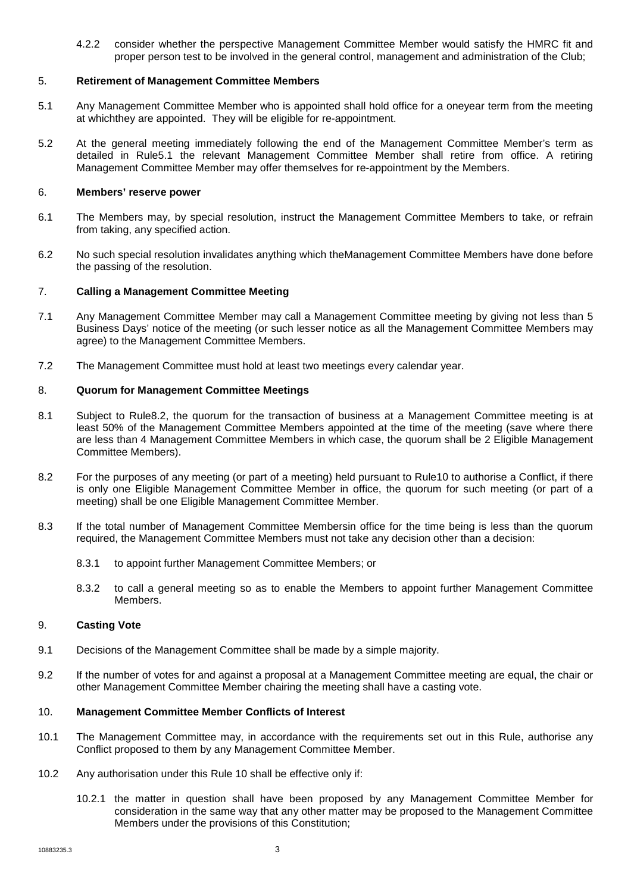4.2.2 consider whether the perspective Management Committee Member would satisfy the HMRC fit and proper person test to be involved in the general control, management and administration of the Club;

### 5. **Retirement of Management Committee Members**

- 5.1 Any Management Committee Member who is appointed shall hold office for a oneyear term from the meeting at whichthey are appointed. They will be eligible for re-appointment.
- 5.2 At the general meeting immediately following the end of the Management Committee Member's term as detailed in Rule5.1 the relevant Management Committee Member shall retire from office. A retiring Management Committee Member may offer themselves for re-appointment by the Members.

#### 6. **Members' reserve power**

- 6.1 The Members may, by special resolution, instruct the Management Committee Members to take, or refrain from taking, any specified action.
- 6.2 No such special resolution invalidates anything which theManagement Committee Members have done before the passing of the resolution.

### 7. **Calling a Management Committee Meeting**

- 7.1 Any Management Committee Member may call a Management Committee meeting by giving not less than 5 Business Days' notice of the meeting (or such lesser notice as all the Management Committee Members may agree) to the Management Committee Members.
- 7.2 The Management Committee must hold at least two meetings every calendar year.

### 8. **Quorum for Management Committee Meetings**

- 8.1 Subject to Rule8.2, the quorum for the transaction of business at a Management Committee meeting is at least 50% of the Management Committee Members appointed at the time of the meeting (save where there are less than 4 Management Committee Members in which case, the quorum shall be 2 Eligible Management Committee Members).
- 8.2 For the purposes of any meeting (or part of a meeting) held pursuant to Rule10 to authorise a Conflict, if there is only one Eligible Management Committee Member in office, the quorum for such meeting (or part of a meeting) shall be one Eligible Management Committee Member.
- 8.3 If the total number of Management Committee Membersin office for the time being is less than the quorum required, the Management Committee Members must not take any decision other than a decision:
	- 8.3.1 to appoint further Management Committee Members; or
	- 8.3.2 to call a general meeting so as to enable the Members to appoint further Management Committee Members.

#### 9. **Casting Vote**

- 9.1 Decisions of the Management Committee shall be made by a simple majority.
- 9.2 If the number of votes for and against a proposal at a Management Committee meeting are equal, the chair or other Management Committee Member chairing the meeting shall have a casting vote.

# 10. **Management Committee Member Conflicts of Interest**

- 10.1 The Management Committee may, in accordance with the requirements set out in this Rule, authorise any Conflict proposed to them by any Management Committee Member.
- 10.2 Any authorisation under this Rule 10 shall be effective only if:
	- 10.2.1 the matter in question shall have been proposed by any Management Committee Member for consideration in the same way that any other matter may be proposed to the Management Committee Members under the provisions of this Constitution;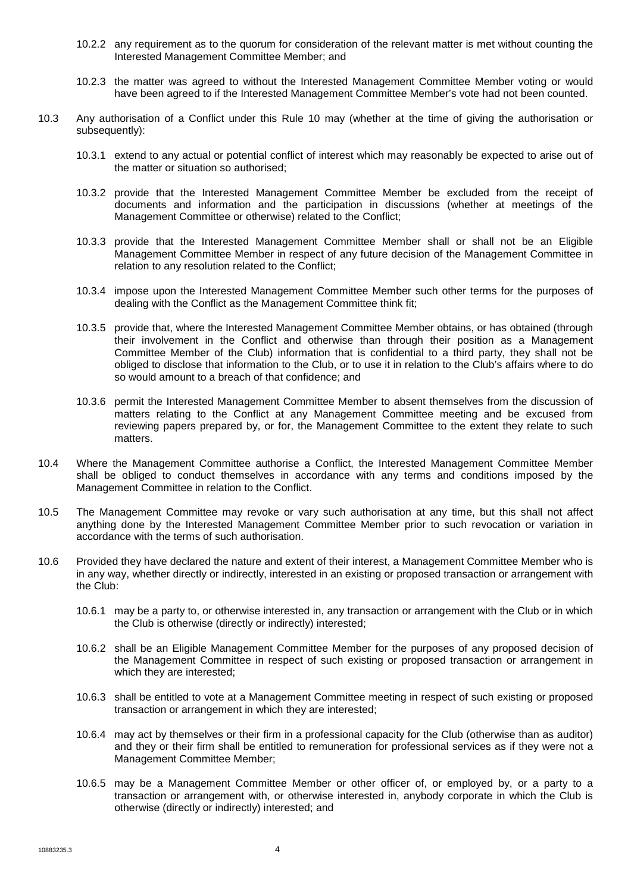- 10.2.2 any requirement as to the quorum for consideration of the relevant matter is met without counting the Interested Management Committee Member; and
- 10.2.3 the matter was agreed to without the Interested Management Committee Member voting or would have been agreed to if the Interested Management Committee Member's vote had not been counted.
- 10.3 Any authorisation of a Conflict under this Rule 10 may (whether at the time of giving the authorisation or subsequently):
	- 10.3.1 extend to any actual or potential conflict of interest which may reasonably be expected to arise out of the matter or situation so authorised;
	- 10.3.2 provide that the Interested Management Committee Member be excluded from the receipt of documents and information and the participation in discussions (whether at meetings of the Management Committee or otherwise) related to the Conflict;
	- 10.3.3 provide that the Interested Management Committee Member shall or shall not be an Eligible Management Committee Member in respect of any future decision of the Management Committee in relation to any resolution related to the Conflict;
	- 10.3.4 impose upon the Interested Management Committee Member such other terms for the purposes of dealing with the Conflict as the Management Committee think fit;
	- 10.3.5 provide that, where the Interested Management Committee Member obtains, or has obtained (through their involvement in the Conflict and otherwise than through their position as a Management Committee Member of the Club) information that is confidential to a third party, they shall not be obliged to disclose that information to the Club, or to use it in relation to the Club's affairs where to do so would amount to a breach of that confidence; and
	- 10.3.6 permit the Interested Management Committee Member to absent themselves from the discussion of matters relating to the Conflict at any Management Committee meeting and be excused from reviewing papers prepared by, or for, the Management Committee to the extent they relate to such matters.
- 10.4 Where the Management Committee authorise a Conflict, the Interested Management Committee Member shall be obliged to conduct themselves in accordance with any terms and conditions imposed by the Management Committee in relation to the Conflict.
- 10.5 The Management Committee may revoke or vary such authorisation at any time, but this shall not affect anything done by the Interested Management Committee Member prior to such revocation or variation in accordance with the terms of such authorisation.
- 10.6 Provided they have declared the nature and extent of their interest, a Management Committee Member who is in any way, whether directly or indirectly, interested in an existing or proposed transaction or arrangement with the Club:
	- 10.6.1 may be a party to, or otherwise interested in, any transaction or arrangement with the Club or in which the Club is otherwise (directly or indirectly) interested;
	- 10.6.2 shall be an Eligible Management Committee Member for the purposes of any proposed decision of the Management Committee in respect of such existing or proposed transaction or arrangement in which they are interested;
	- 10.6.3 shall be entitled to vote at a Management Committee meeting in respect of such existing or proposed transaction or arrangement in which they are interested;
	- 10.6.4 may act by themselves or their firm in a professional capacity for the Club (otherwise than as auditor) and they or their firm shall be entitled to remuneration for professional services as if they were not a Management Committee Member;
	- 10.6.5 may be a Management Committee Member or other officer of, or employed by, or a party to a transaction or arrangement with, or otherwise interested in, anybody corporate in which the Club is otherwise (directly or indirectly) interested; and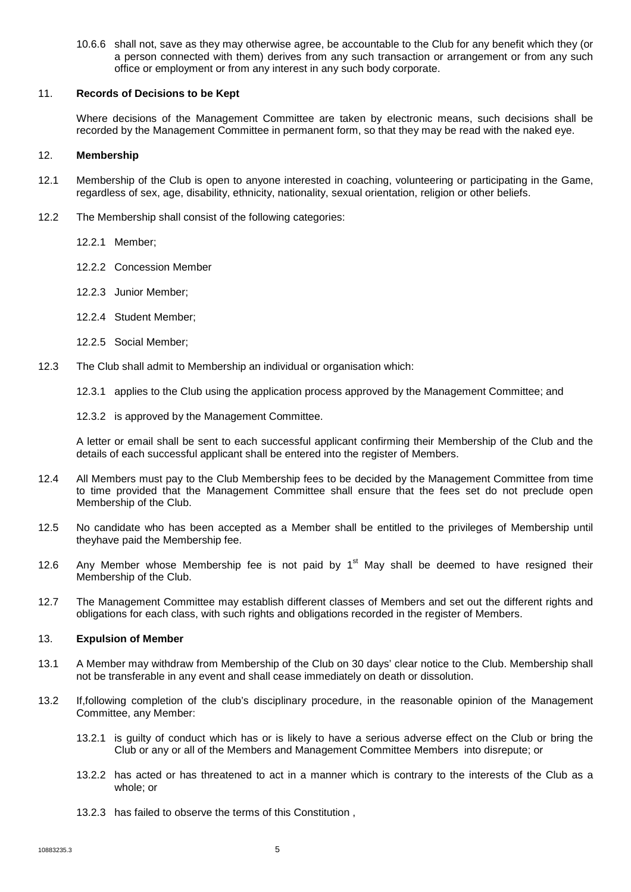10.6.6 shall not, save as they may otherwise agree, be accountable to the Club for any benefit which they (or a person connected with them) derives from any such transaction or arrangement or from any such office or employment or from any interest in any such body corporate.

#### 11. **Records of Decisions to be Kept**

Where decisions of the Management Committee are taken by electronic means, such decisions shall be recorded by the Management Committee in permanent form, so that they may be read with the naked eye.

#### 12. **Membership**

- 12.1 Membership of the Club is open to anyone interested in coaching, volunteering or participating in the Game, regardless of sex, age, disability, ethnicity, nationality, sexual orientation, religion or other beliefs.
- 12.2 The Membership shall consist of the following categories:
	- 12.2.1 Member;
	- 12.2.2 Concession Member
	- 12.2.3 Junior Member;
	- 12.2.4 Student Member;
	- 12.2.5 Social Member;
- 12.3 The Club shall admit to Membership an individual or organisation which:
	- 12.3.1 applies to the Club using the application process approved by the Management Committee; and
	- 12.3.2 is approved by the Management Committee.

A letter or email shall be sent to each successful applicant confirming their Membership of the Club and the details of each successful applicant shall be entered into the register of Members.

- 12.4 All Members must pay to the Club Membership fees to be decided by the Management Committee from time to time provided that the Management Committee shall ensure that the fees set do not preclude open Membership of the Club.
- 12.5 No candidate who has been accepted as a Member shall be entitled to the privileges of Membership until theyhave paid the Membership fee.
- 12.6 Any Member whose Membership fee is not paid by  $1<sup>st</sup>$  May shall be deemed to have resigned their Membership of the Club.
- 12.7 The Management Committee may establish different classes of Members and set out the different rights and obligations for each class, with such rights and obligations recorded in the register of Members.

#### 13. **Expulsion of Member**

- 13.1 A Member may withdraw from Membership of the Club on 30 days' clear notice to the Club. Membership shall not be transferable in any event and shall cease immediately on death or dissolution.
- 13.2 If,following completion of the club's disciplinary procedure, in the reasonable opinion of the Management Committee, any Member:
	- 13.2.1 is guilty of conduct which has or is likely to have a serious adverse effect on the Club or bring the Club or any or all of the Members and Management Committee Members into disrepute; or
	- 13.2.2 has acted or has threatened to act in a manner which is contrary to the interests of the Club as a whole; or
	- 13.2.3 has failed to observe the terms of this Constitution ,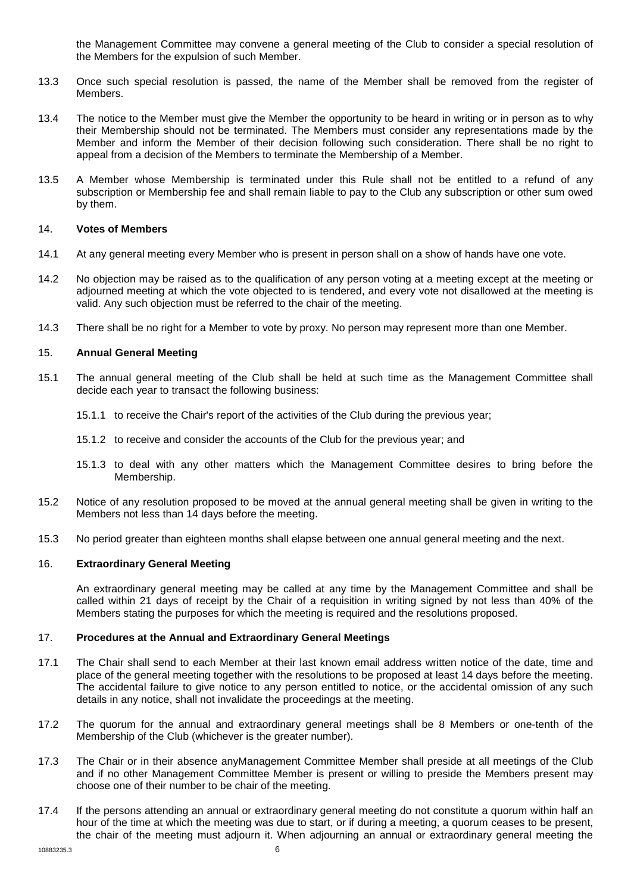the Management Committee may convene a general meeting of the Club to consider a special resolution of the Members for the expulsion of such Member.

- 13.3 Once such special resolution is passed, the name of the Member shall be removed from the register of Members.
- 13.4 The notice to the Member must give the Member the opportunity to be heard in writing or in person as to why their Membership should not be terminated. The Members must consider any representations made by the Member and inform the Member of their decision following such consideration. There shall be no right to appeal from a decision of the Members to terminate the Membership of a Member.
- 13.5 A Member whose Membership is terminated under this Rule shall not be entitled to a refund of any subscription or Membership fee and shall remain liable to pay to the Club any subscription or other sum owed by them.

### 14. **Votes of Members**

- 14.1 At any general meeting every Member who is present in person shall on a show of hands have one vote.
- 14.2 No objection may be raised as to the qualification of any person voting at a meeting except at the meeting or adjourned meeting at which the vote objected to is tendered, and every vote not disallowed at the meeting is valid. Any such objection must be referred to the chair of the meeting.
- 14.3 There shall be no right for a Member to vote by proxy. No person may represent more than one Member.

### 15. **Annual General Meeting**

- 15.1 The annual general meeting of the Club shall be held at such time as the Management Committee shall decide each year to transact the following business:
	- 15.1.1 to receive the Chair's report of the activities of the Club during the previous year;
	- 15.1.2 to receive and consider the accounts of the Club for the previous year; and
	- 15.1.3 to deal with any other matters which the Management Committee desires to bring before the Membership.
- 15.2 Notice of any resolution proposed to be moved at the annual general meeting shall be given in writing to the Members not less than 14 days before the meeting.
- 15.3 No period greater than eighteen months shall elapse between one annual general meeting and the next.

# 16. **Extraordinary General Meeting**

An extraordinary general meeting may be called at any time by the Management Committee and shall be called within 21 days of receipt by the Chair of a requisition in writing signed by not less than 40% of the Members stating the purposes for which the meeting is required and the resolutions proposed.

# 17. **Procedures at the Annual and Extraordinary General Meetings**

- 17.1 The Chair shall send to each Member at their last known email address written notice of the date, time and place of the general meeting together with the resolutions to be proposed at least 14 days before the meeting. The accidental failure to give notice to any person entitled to notice, or the accidental omission of any such details in any notice, shall not invalidate the proceedings at the meeting.
- 17.2 The quorum for the annual and extraordinary general meetings shall be 8 Members or one-tenth of the Membership of the Club (whichever is the greater number).
- 17.3 The Chair or in their absence anyManagement Committee Member shall preside at all meetings of the Club and if no other Management Committee Member is present or willing to preside the Members present may choose one of their number to be chair of the meeting.
- 17.4 If the persons attending an annual or extraordinary general meeting do not constitute a quorum within half an hour of the time at which the meeting was due to start, or if during a meeting, a quorum ceases to be present, the chair of the meeting must adjourn it. When adjourning an annual or extraordinary general meeting the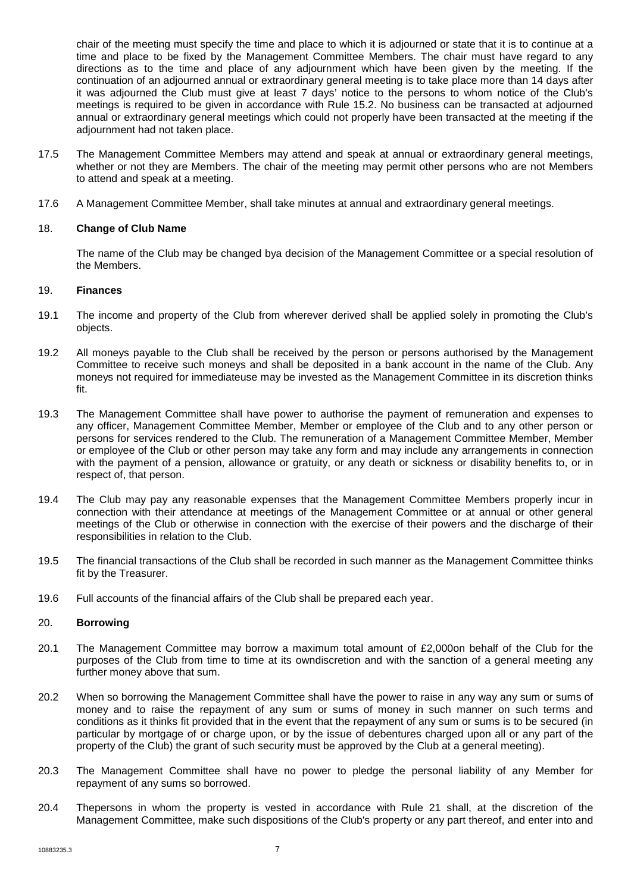chair of the meeting must specify the time and place to which it is adjourned or state that it is to continue at a time and place to be fixed by the Management Committee Members. The chair must have regard to any directions as to the time and place of any adjournment which have been given by the meeting. If the continuation of an adjourned annual or extraordinary general meeting is to take place more than 14 days after it was adjourned the Club must give at least 7 days' notice to the persons to whom notice of the Club's meetings is required to be given in accordance with Rule 15.2. No business can be transacted at adjourned annual or extraordinary general meetings which could not properly have been transacted at the meeting if the adjournment had not taken place.

- 17.5 The Management Committee Members may attend and speak at annual or extraordinary general meetings, whether or not they are Members. The chair of the meeting may permit other persons who are not Members to attend and speak at a meeting.
- 17.6 A Management Committee Member, shall take minutes at annual and extraordinary general meetings.

### 18. **Change of Club Name**

The name of the Club may be changed bya decision of the Management Committee or a special resolution of the Members.

#### 19. **Finances**

- 19.1 The income and property of the Club from wherever derived shall be applied solely in promoting the Club's objects.
- 19.2 All moneys payable to the Club shall be received by the person or persons authorised by the Management Committee to receive such moneys and shall be deposited in a bank account in the name of the Club. Any moneys not required for immediateuse may be invested as the Management Committee in its discretion thinks fit.
- 19.3 The Management Committee shall have power to authorise the payment of remuneration and expenses to any officer, Management Committee Member, Member or employee of the Club and to any other person or persons for services rendered to the Club. The remuneration of a Management Committee Member, Member or employee of the Club or other person may take any form and may include any arrangements in connection with the payment of a pension, allowance or gratuity, or any death or sickness or disability benefits to, or in respect of, that person.
- 19.4 The Club may pay any reasonable expenses that the Management Committee Members properly incur in connection with their attendance at meetings of the Management Committee or at annual or other general meetings of the Club or otherwise in connection with the exercise of their powers and the discharge of their responsibilities in relation to the Club.
- 19.5 The financial transactions of the Club shall be recorded in such manner as the Management Committee thinks fit by the Treasurer.
- 19.6 Full accounts of the financial affairs of the Club shall be prepared each year.

# 20. **Borrowing**

- 20.1 The Management Committee may borrow a maximum total amount of £2,000on behalf of the Club for the purposes of the Club from time to time at its owndiscretion and with the sanction of a general meeting any further money above that sum.
- 20.2 When so borrowing the Management Committee shall have the power to raise in any way any sum or sums of money and to raise the repayment of any sum or sums of money in such manner on such terms and conditions as it thinks fit provided that in the event that the repayment of any sum or sums is to be secured (in particular by mortgage of or charge upon, or by the issue of debentures charged upon all or any part of the property of the Club) the grant of such security must be approved by the Club at a general meeting).
- 20.3 The Management Committee shall have no power to pledge the personal liability of any Member for repayment of any sums so borrowed.
- 20.4 Thepersons in whom the property is vested in accordance with Rule 21 shall, at the discretion of the Management Committee, make such dispositions of the Club's property or any part thereof, and enter into and